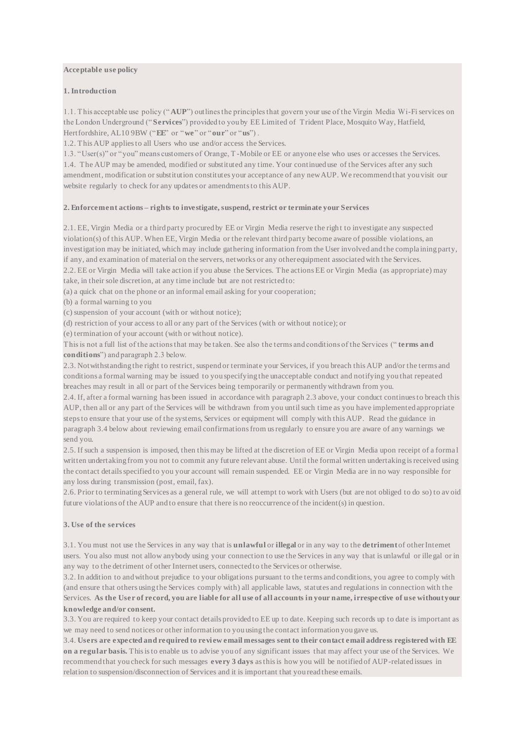#### **Acceptable use policy**

#### **1. Introduction**

1.1. This acceptable use policy ("**AUP**") outlines the principles that govern your use of the Virgin Media Wi-Fi services on the London Underground ("**Services**") provided to you by EE Limited of Trident Place, Mosquito Way, Hatfield, Hertfordshire, AL10 9BW ("**EE**" or "**we**" or "**our**" or "**us**") .

1.2. This AUP applies to all Users who use and/or access the Services.

1.3. "User(s)" or "you" means customers of Orange, T -Mobile or EE or anyone else who uses or accesses the Services. 1.4. The AUP may be amended, modified or substituted any time. Your continued use of the Services after any such amendment, modification or substitution constitutes your acceptance of any new AUP. We recommend that you visit our website regularly to check for any updates or amendments to this AUP.

### **2. Enforcement actions – rights to investigate, suspend, restrict or terminate your Services**

2.1. EE, Virgin Media or a third party procured by EE or Virgin Media reserve the righ t to investigate any suspected violation(s) of this AUP. When EE, Virgin Media or the relevant third party become aware of possible violations, an investigation may be initiated, which may include gathering information from the User involved and the compla ining party, if any, and examination of material on the servers, networks or any other equipment associated with the Services.

2.2. EE or Virgin Media will take action if you abuse the Services. The actions EE or Virgin Media (as appropriate) may take, in their sole discretion, at any time include but are not restricted to:

(a) a quick chat on the phone or an informal email asking for your cooperation;

(b) a formal warning to you

(c) suspension of your account (with or without notice);

(d) restriction of your access to all or any part of the Services (with or without notice); or

(e) termination of your account (with or without notice).

This is not a full list of the actions that may be taken. See also the terms and conditions of the Services (" **terms and conditions**") and paragraph 2.3 below.

2.3. Notwithstanding the right to restrict, suspend or terminate your Services, if you breach this AUP and/or the terms and conditions a formal warning may be issued to you specifying the unacceptable conduct and notifying you that repeated breaches may result in all or part of the Services being temporarily or permanently withdrawn from you.

2.4. If, after a formal warning has been issued in accordance with paragraph 2.3 above, your conduct continues to breach this AUP, then all or any part of the Services will be withdrawn from you until such time as you have implemented appropriate steps to ensure that your use of the systems, Services or equipment will comply with this AUP. Read the guidance in paragraph 3.4 below about reviewing email confirmations from us regularly to ensure you are aware of any warnings we send you.

2.5. If such a suspension is imposed, then this may be lifted at the discretion of EE or Virgin Media upon receipt of a forma l written undertaking from you not to commit any future relevant abuse. Until the formal written undertaking is received using the contact details specified to you your account will remain suspended. EE or Virgin Media are in no way responsible for any loss during transmission (post, email, fax).

2.6. Prior to terminating Services as a general rule, we will attempt to work with Users (but are not obliged to do so) to av oid future violations of the AUP and to ensure that there is no reoccurrence of the incident(s) in question.

# **3. Use of the services**

3.1. You must not use the Services in any way that is **unlawful** or **illegal** or in any way to the **detriment** of other Internet users. You also must not allow anybody using your connection to use the Services in any way that is unlawful or ille gal or in any way to the detriment of other Internet users, connected to the Services or otherwise.

3.2. In addition to and without prejudice to your obligations pursuant to the terms and conditions, you agree to comply with (and ensure that others using the Services comply with) all applicable laws, statutes and regulations in connection with the Services. **As the User of record, you are liable for all use of all accounts in your name, irrespective of use without your knowledge and/or consent.**

3.3. You are required to keep your contact details provided to EE up to date. Keeping such records up to date is important as we may need to send notices or other information to you using the contact information you gave us.

3.4. **Users are expected and required to revi ew email messages sent to their contact email address registered with EE on a regular basis.** This is to enable us to advise you of any significant issues that may affect your use of the Services. We recommend that you check for such messages **every 3 days** as this is how you will be notified of AUP-related issues in relation to suspension/disconnection of Services and it is important that you read these emails.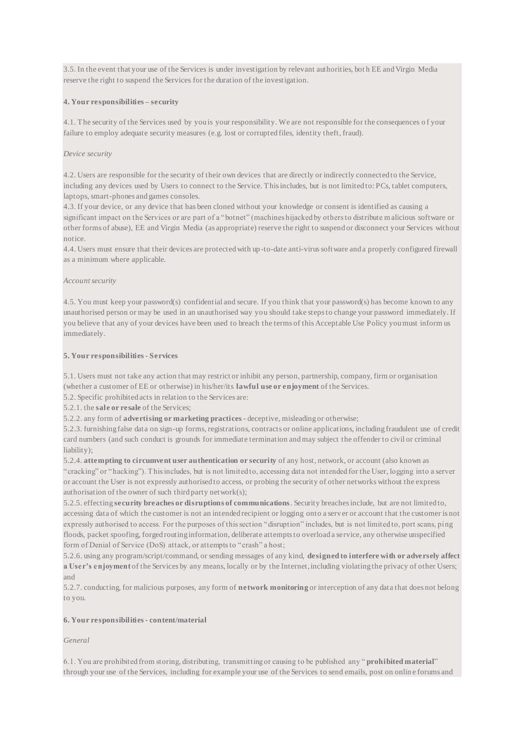3.5. In the event that your use of the Services is under investigation by relevant authorities, bot h EE and Virgin Media reserve the right to suspend the Services for the duration of the investigation.

# **4. Your responsibilities – security**

4.1. The security of the Services used by you is your responsibility. We are not responsible for the consequences o f your failure to employ adequate security measures (e.g. lost or corrupted files, identity theft, fraud).

# *Device security*

4.2. Users are responsible for the security of their own devices that are directly or indirectly connected to the Service, including any devices used by Users to connect to the Service. This includes, but is not limited to: PCs, tablet computers, laptops, smart-phones and games consoles.

4.3. If your device, or any device that has been cloned without your knowledge or consent is identified as causing a significant impact on the Services or are part of a "botnet" (machines hijacked by others to distribute malicious software or other forms of abuse), EE and Virgin Media (as appropriate) reserve the right to suspend or disconnect your Services without notice.

4.4. Users must ensure that their devices are protected with up-to-date anti-virus software and a properly configured firewall as a minimum where applicable.

## *Account security*

4.5. You must keep your password(s) confidential and secure. If you think that your password(s) has become known to any unauthorised person or may be used in an unauthorised way you should take steps to change your password immediately. If you believe that any of your devices have been used to breach the terms of this Acceptable Use Policy you must inform us immediately.

## **5. Your responsibilities - Services**

5.1. Users must not take any action that may restrict or inhibit any person, partnership, company, firm or organisation (whether a customer of EE or otherwise) in his/her/its **lawful use or enjoyment** of the Services.

5.2. Specific prohibited acts in relation to the Services are:

5.2.1. the **sale or resale** of the Services;

5.2.2. any form of **advertising or marketing practices** - deceptive, misleading or otherwise;

5.2.3. furnishing false data on sign-up forms, registrations, contracts or online applications, including fraudulent use of credit card numbers (and such conduct is grounds for immediate termination and may subject the offender to civil or criminal liability);

5.2.4. **attempting to circumvent user authentication or security** of any host, network, or account (also known as "cracking" or "hacking"). This includes, but is not limited to, accessing data not intended for the User, logging into a server or account the User is not expressly authorised to access, or probing the security of other networks without the express authorisation of the owner of such third party network(s);

5.2.5. effecting **security breaches or disruptions of communications**. Security breaches include, but are not limited to, accessing data of which the customer is not an intended recipient or logging onto a server or account that the customer is not expressly authorised to access. For the purposes of this section "disruption" includes, but is not limited to, port scans, ping floods, packet spoofing, forged routing information, deliberate attempts to overload a service, any otherwise unspecified form of Denial of Service (DoS) attack, or attempts to "crash" a host;

5.2.6. using any program/script/command, or sending messages of any kind, **designed to interfere with or adversely affect a User's enjoyment** of the Services by any means, locally or by the Internet, including violating the privacy of other Users; and

5.2.7. conducting, for malicious purposes, any form of **network monitoring** or interception of any data that does not belong to you.

## **6. Your responsibilities - content/material**

## *General*

6.1. You are prohibited from storing, distributing, transmitting or causing to be published any " **prohibited material**" through your use of the Services, including for example your use of the Services to send emails, post on onlin e forums and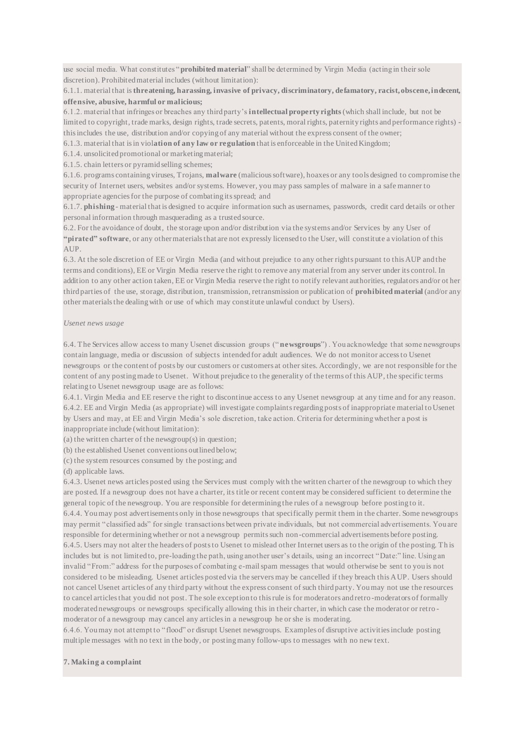use social media. What constitutes "**prohibited material**" shall be determined by Virgin Media (acting in their sole discretion). Prohibited material includes (without limitation):

6.1.1. material that is **threatening, harassing, invasive of privacy, discriminatory, defamatory, racist, obscene, indecent, offensive, abusive, harmful or malicious;**

6.1.2. material that infringes or breaches any third party's **intellectual property rights**(which shall include, but not be limited to copyright, trade marks, design rights, trade secrets, patents, moral rights, paternity rights and performance rights) this includes the use, distribution and/or copying of any material without the express consent of the owner;

6.1.3. material that is in viol**ation of any law or regulation** that is enforceable in the United Kingdom;

6.1.4. unsolicited promotional or marketing material;

6.1.5. chain letters or pyramid selling schemes;

6.1.6. programs containing viruses, Trojans, **malware** (malicious software), hoaxes or any tools designed to compromise the security of Internet users, websites and/or systems. However, you may pass samples of malware in a safe manner to appropriate agencies for the purpose of combating its spread; and

6.1.7. **phishing** - material that is designed to acquire information such as usernames, passwords, credit card details or other personal information through masquerading as a trusted source.

6.2. For the avoidance of doubt, the storage upon and/or distribution via the systems and/or Services by any User of **"pirated" software**, or any other materials that are not expressly licensed to the User, will constitute a violation of this AUP.

6.3. At the sole discretion of EE or Virgin Media (and without prejudice to any other rights pursuant to this AUP and the terms and conditions), EE or Virgin Media reserve the right to remove any material from any server under its control. In addition to any other action taken, EE or Virgin Media reserve the right to notify relevant authorities, regulators and/or ot her third parties of the use, storage, distribution, transmission, retransmission or publication of **prohibited material** (and/or any other materials the dealing with or use of which may constitute unlawful conduct by Users).

#### *Usenet news usage*

6.4. The Services allow access to many Usenet discussion groups (" **newsgroups**") . You acknowledge that some newsgroups contain language, media or discussion of subjects intended for adult audiences. We do not monitor access to Usenet newsgroups or the content of posts by our customers or customers at other sites. Accordingly, we are not responsible for the content of any posting made to Usenet. Without prejudice to the generality of the terms of this AUP, the specific terms relating to Usenet newsgroup usage are as follows:

6.4.1. Virgin Media and EE reserve the right to discontinue access to any Usenet newsgroup at any time and for any reason. 6.4.2. EE and Virgin Media (as appropriate) will investigate complaints regarding posts of inappropriate material to Usenet by Users and may, at EE and Virgin Media's sole discretion, take action. Criteria for determining whether a post is inappropriate include (without limitation):

(a) the written charter of the newsgroup(s) in question;

(b) the established Usenet conventions outlined below;

(c) the system resources consumed by the posting; and

(d) applicable laws.

6.4.3. Usenet news articles posted using the Services must comply with the written charter of the newsgroup to which they are posted. If a newsgroup does not have a charter, its title or recent content may be considered sufficient to determine the general topic of the newsgroup. You are responsible for determining the rules of a newsgroup before posting to it. 6.4.4. You may post advertisements only in those newsgroups that specifically permit them in the charter. Some newsgroups may permit "classified ads" for single transactions between private individuals, but not commercial advertisements. You are responsible for determining whether or not a newsgroup permits such non-commercial advertisements before posting. 6.4.5. Users may not alter the headers of posts to Usenet to mislead other Internet users as to the origin of the posting. Th is includes but is not limited to, pre-loading the path, using another user's details, using an incorrect "Date:" line. Using an invalid "From:" address for the purposes of combating e-mail spam messages that would otherwise be sent to you is not considered to be misleading. Usenet articles posted via the servers may be cancelled if they breach this AUP. Users should not cancel Usenet articles of any third party without the express consent of such third party. You may not use the resources to cancel articles that you did not post. The sole exception to this rule is for moderators and retro -moderators of formally moderated newsgroups or newsgroups specifically allowing this in their charter, in which case the moderator or retro moderator of a newsgroup may cancel any articles in a newsgroup he or she is moderating.

6.4.6. You may not attempt to "flood" or disrupt Usenet newsgroups. Examples of disruptive activities include posting multiple messages with no text in the body, or posting many follow-ups to messages with no new text.

## **7. Making a complaint**